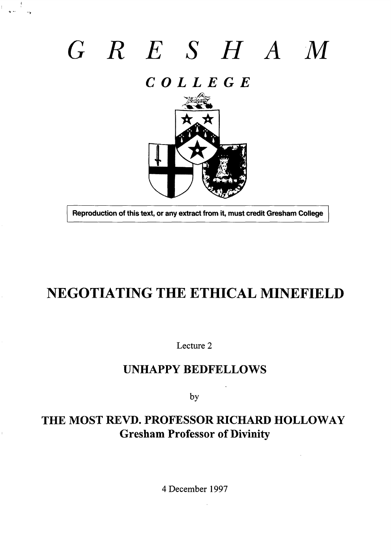# *GRE SHAM*

., . .,,

*COLLEGE*



**Reproduction of this text, or any extract from it, must credit Gresham College** 

## NEGOTIATING THE ETHICAL MINEFIELD

Lecture 2

## **UNHAPPY BEDFELLOWS**

by

## **THE MOST REVD. PROFESSOR ~CHARD HOLLOWAY Gresham Professor of Divinity**

4 December 1997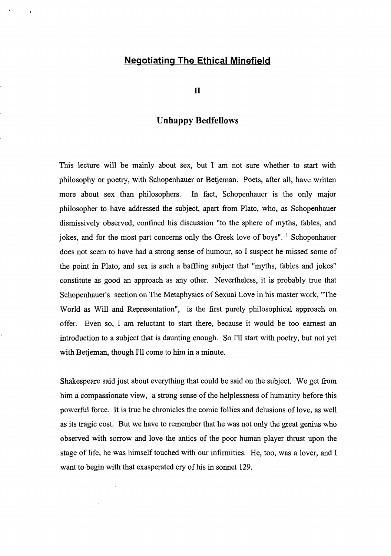#### **Neaotiatina The Ethical Minefield**

 $\epsilon$  ,  $\epsilon$  ,  $\epsilon$ 

II

#### Unhappy Bedfellows

This lecture will be mainly about sex, but I am not sure whether to start with philosophy or poetry, with Schopenhauer or Betjeman. Poets, afier all, have written more about sex than philosophers. In fact, Schopenhauer is the only major philosopher to have addressed the subject, apart from Plato, who, as Schopenhauer dismissively observed, confined his discussion "to the sphere of myths, fables, and jokes, and for the most part concerns only the Greek love of boys". <sup>1</sup> Schopenhauer does not seem to have had a strong sense of humour, so I suspect he missed some of the point in Plato, and sex is such a baffling subject that "myths, fables and jokes" constitute as good an approach as any other. Nevertheless, it is probably true that Schopenhauer's section on The Metaphysics of Sexual Love in his master work, "The World as Will and Representation", is the first purely philosophical approach on offer. Even so, I am reluctant to start there, because it would be too earnest an introduction to a subject that is daunting enough. So I'll start with poetry, but not yet with Betjeman, though I'll come to him in a minute.

Shakespeare said just about everything that could be said on the subject. We get from him a compassionate view, a strong sense of the helplessness of humanity before this powerfil force. It is true he chronicles the comic follies and delusions of love, as well as its tragic cost. But we have to remember that he was not only the great genius who observed with sorrow and love the antics of the poor human player thrust upon the stage of life, he was himself touched with our infirmities. He, too, was a lover, and I want to begin with that exasperated cry of his in sonnet 129.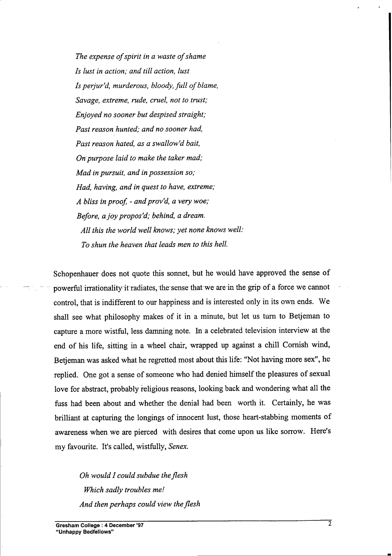*The expense ofspirit in a waste ofshame Is lust in action; and till action, lust Is perjur'd, murderous, bloody, full of blame, Savage, extreme, rude, cruel, not to trust; Enjoyed no sooner but despised straight; Past reason hunted; and no sooner had, Past reason hated, as a swallow'd bait, On'purpose laid to make the taker mad; Mad in pursuit, and in possession so; Had, having, and in quest to have, extreme; A bliss in proo\$ - andprov'd, a very woe; Before, a joy propos 'd; behind, a dream. All this the world well knows; yet none knows well: To shun the heaven that leads men to this hell.*

Schopenhauer does not quote this sonnet, but he would have approved the sense of powerful irrationality it radiates, the sense that we are in the grip of a force we cannot control, that is indifferent to our happiness and is interested only in its own ends. We shall see what philosophy makes of it in a minute, but let us turn to Betjeman to capture a more wistful, less damning note. In a celebrated television interview at the end of his life, sitting in a wheel chair, wrapped up against a chill Cornish wind, Betjeman was asked what he regretted most about this life: "Not having more sex", he replied. One got a sense of someone who had denied himself the pleasures of sexual love for abstract, probably religious reasons, looking back and wondering what all the fiss had been about and whether the denial had been worth it. Certainly, he was brilliant at capturing the longings of innocent lust, those heart-stabbing moments of awareness when we are pierced with desires that come upon us like sorrow. Here's my favourite. It's called, wistfilly, *Senex.*

*Oh would I could subdue the flesh Mich sadly troubles me! And then perhaps could view the flesh*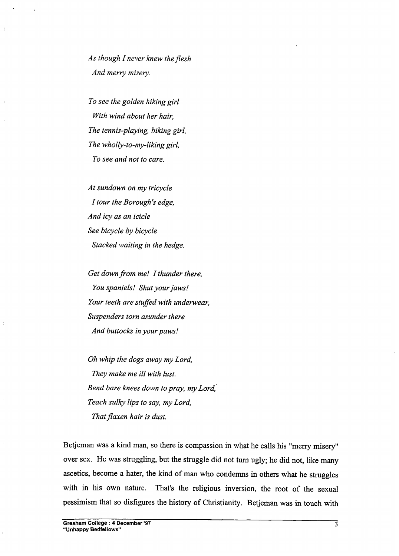*As though I never knew the flesh And merry misery*.

*To see the golden hiking girl With wind about her hair, The tennis-playing, biking girl, The wholly-to-my-liking girl, To see and not to care.*

*At sundown on my tricycle I tour the Borough 5 edge, And icy as an icicle See bicycle by biqcle Stacked waiting in the hedge.*

*Get down from me! I thunder there, You spaniels! Shut your jaws! Your teeth are stufed with undewear, Suspenders torn asunder there And buttocks in your paws!*

*Oh whip the dogs away my Lord, f hey make me ill* with *lust. Bend bare knees down to pray, my Lord,' Teach sulky lips to say, my Lord, That flaxen hair is dust.* 

Betjeman was a kind man, so there is compassion in what he calls his "merry misery" over sex. He was struggling, but the struggle did not turn ugly; he did not, like many ascetics, become a hater, the kind of man who condemns in others what he struggles with in his own nature. That's the religious inversion, the root of the sexual pessimism that so disfigures the history of Christianity. Betjeman was in touch with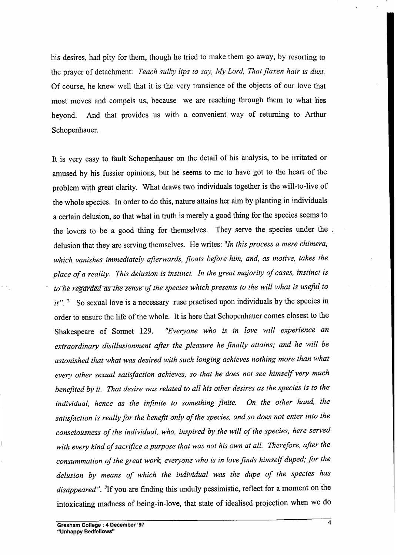his desires, had pity for them, though he tried to make them go away, by resorting to the prayer of detachment: *Teach sulky lips to* **say,MyLord,Thatflaxen***hair is dust.* Of course, he knew well that it is the very transience of the objects of our love that most moves and compels us, because we are reaching through them to what lies beyond. And that provides us with a convenient way of returning to Arthur Schopenhauer.

It is very easy to fault Schopenhauer on the detail of his analysis, to be irritated or amused by his fussier opinions, but he seems to me to have got to the heart of the problem with great clarity. What draws two individuals together is the will-to-live of the whole species. In order to do this, nature attains her aim by planting in individuals a certain delusion, so that what in truth is merely a good thing for the species seems to the lovers to be a good thing for themselves. They serve the species under the delusion that they are serving themselves. He writes: *"In this process a mere chimera, which vanishes immediately aftemards, floats before him, and, as motive, takes the place* of *a* reality. This delusion is instinct. In the great majority of cases, instinct is *to--be regafded=th~=nse-of the-species which presents to the will what is useful to it". 2 So* sexual love is a necessary ruse practised upon individuals by the species in order to ensure the life of the whole. It is here that Schopenhauer comes closest to the Shakespeare of Sonnet 129. *"Everyone who is in love will experience an extraordinary disillusionment after the pleasure he finally attains; and he will be astonished that what was desired with such longing achieves nothing more than what every other sexual satisfaction achieves, so that he does not see himself very much benefited by it. That desire was related to all his other desires as the species is to the individual, hence as the infinite to something finite. On the other hand, the satisfaction is really for the bene\$t only of the species, and so does not enter into the consciousness of the individual, who, inspired by the will of the species, here served* with every kind of sacrifice a purpose that was not his own at all. Therefore, after the *consummation of the great work, everyone who is in love finds himself duped; for the delusion by means of which the individual was the dupe of the species has disappeared".* <sup>3</sup>If you are finding this unduly pessimistic, reflect for a moment on the intoxicating madness of being-in-love, that state of idealised projection when we do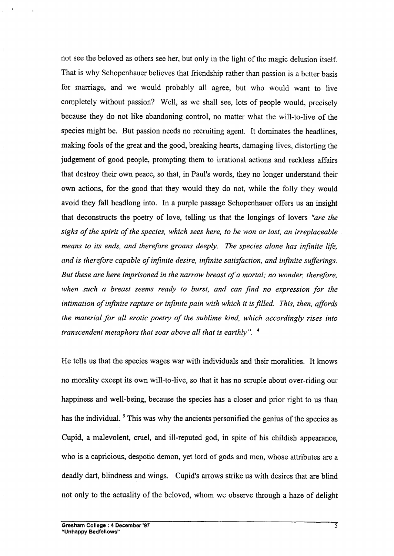not see the beloved as others see her, but only in the light of the magic delusion itself. That is why Schopenhauer believes that friendship rather than passion is a better basis for marriage, and we would probably all agree, but who would want to live completely without passion? Well, as we shall see, lots of people would, precisely because they do not like abandoning control, no matter what the will-to-live of the species might be. But passion needs no recruiting agent. It dominates the headlines, making fools of the great and the good, breaking hearts, damaging lives, distorting the judgement of good people, prompting them to irrational actions and reckless affairs that destroy their own peace, so that, in Paul's words, they no longer understand their own actions, for the good that they would they do not, while the folly they would avoid they fall headlong into. In a purple passage Schopenhauer offers us an insight that deconstructs the poetry of love, telling us that the longings of lovers "are the *sighs of the spirit of the species, which sees here, to be won or lost, an irreplaceable means to its ends, and therefore groans deeply. ~e species alone has infinite llfe, and is therefore capable of injnite desire, infinite satisfaction, and infinite sufferings. But these are here imprisoned in the narrow breast of a mortal; no wonder, therefore, when such a breast seems ready to burst, and can find no expression for the intimation of infinite rapture or infinite pain with which it isfilled. fiis, then, affords the* material for all erotic poetry of the sublime kind, which accordingly rises into *transcendent metaphors that soar above all that is earthly". 4*

He tells us that the species wages war with individuals and their moralities. It knows no morality except its own will-to-live, so that it has no scruple about over-riding our happiness and well-being, because the species has a closer and prior right to us than has the individual. <sup>5</sup> This was why the ancients personified the genius of the species as Cupid, a malevolent, cruel, and ill-reputed god, in spite of his childish appearance, who is a capricious, despotic demon, yet lord of gods and men, whose attributes are a deadly dart, blindness and wings. Cupid's arrows strike us with desires that are blind not only to the actuality of the beloved, whom we observe through a haze of delight

',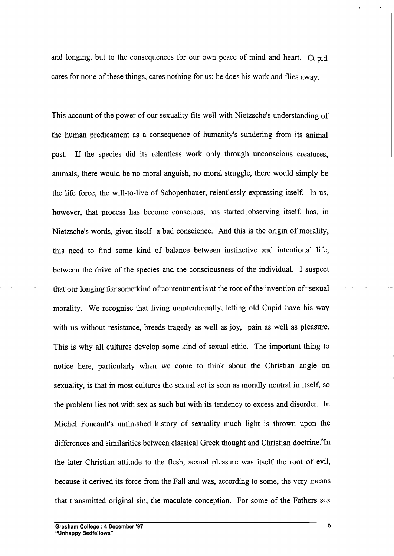and longing, but to the consequences for our own peace of mind and heart. Cupid cares for none of these things, cares nothing for us; he does his work and flies away.

This account of the power of our sexuality fits well with Nietzsche's understanding of the human predicament as a consequence of humanity's sundering from its animal past. If the species did its relentless work only through unconscious creatures, animals, there would be no moral anguish, no moral struggle, there would simply be the life force, the will-to-live of Schopenhauer, relentlessly expressing itself. In us, however, that process has become conscious, has started observing. itself, has, in Nietzsche's words, given itself a bad conscience. And this is the origin of morality, this need to find some kind of balance between instinctive and intentional life, between the drive of the species and the consciousness of the individual. I suspect that our longing for some kind of contentment is at the root of the invention of sexual morality. We recognise that living unintentionally, letting old Cupid have his way with us without resistance, breeds tragedy as well as joy, pain as well as pleasure. This is why all cultures develop some kind of sexual ethic. The important thing to notice here, particularly when we come to think about the Christian angle on sexuality, is that in most cultures the sexual act is seen as morally neutral in itself, so the problem lies not with sex as such but with its tendency to excess and disorder. In Michel Foucault's unfinished history of sexuality much light is thrown upon the differences and similarities between classical Greek thought and Christian doctrine.<sup>6</sup>In the later Christian attitude to the flesh, sexual pleasure was itself the root of evil, because it derived its force from the Fall and was, according to some, the very means that transmitted original sin, the maculate conception. For some of the Fathers sex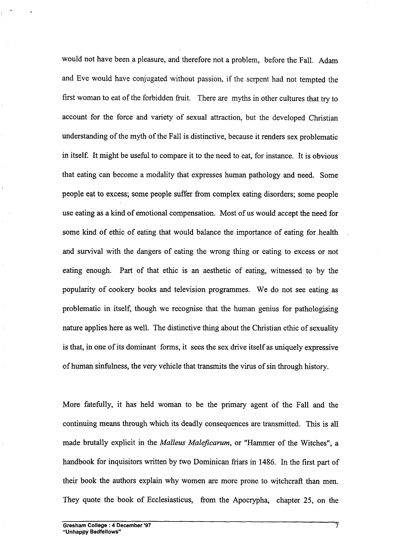would not have been a pleasure, and therefore not a problem, before the Fall. Adam and Eve would have conjugated without passion, if the serpent had not tempted the first woman to eat of the forbidden fruit. There are myths in other cultures that try to account for the force and variety of sexual attraction, but the developed Christian understanding of the myth of the Fall is distinctive, because it renders sex problematic in itself. It might be usefil to compare it to the need to eat, for instance. It is obvious that eating can become a modality that expresses human pathology and need. Some people eat to excess; some people suffer from complex eating disorders; some people use eating as a kind of emotional compensation. Most of us would accept the need for some kind of ethic of eating that would balance the importance of eating for health. and survival with the dangers of eating the wrong thing or eating to excess or not eating enough. Part of that ethic is an aesthetic of eating, witnessed to by the popularity of cookery books and television programmed. We do not see eating as problematic in itself, though we recognise that the human genius for pathologising nature applies here as well. The distinctive thing about the Christian ethic of sexuality is that, in one of its dominant forms, it sees the sex drive itself as uniquely expressive of human sinfuhess, the very vehicle that transmits the virus of sin through history.

More fatefilly, it has held woman to be the primary agent of the Fall and the continuing means through which its deadly consequences are transmitted. This is all made brutally explicit in the *Malleus Maleficamm,* or "Hammer of the Witches", a handbook for inquisitors written by two Dominican friars in 1486. In the first part of their book the authors explain why women are more prone to witchcraft than men. They quote the book of Ecclesiasticus, from the Apocrypha, chapter 25, on the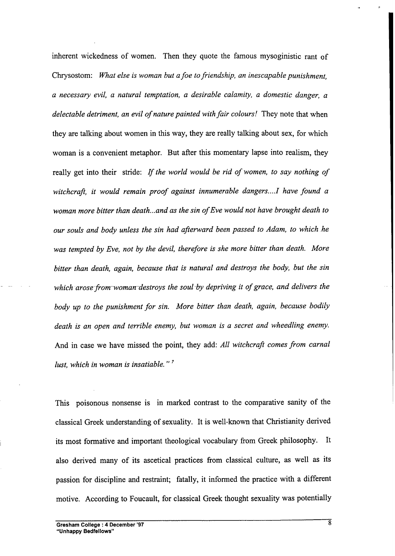inherent wickedness of women. Then they quote the famous mysoginistic rant of Chrysostom: *mat else is woman but a foe to friendship, an inescapable punishment, a necessary evil, a natural temptation, a desirable calamity, a domestic danger, a delectable detriment, an evil of nature painted with fair colours!* They note that when they are talking about women in this way, they are really talking about sex, for which woman is a convenient metaphor. But after this momentary lapse into realism, they really get into their stride: *If the world would be rid of women, to say nothing of witchcraft, it would remain proof against innumerable dangers... .I have found a woman more bitter than death. ..and as the sin of Eve would not have brought death to our souls and body unless the sin had afterward been passed to Adam, to which .he was tempted by Eve, not by the devil, therefore is she more bitter than death. More bitter than death, again, because that is natural and destroys the body, but the sin -— which -arose-from-woman-destroys the soul -by depriving it of grace, and delivers- the body up to the punishment for sin. More bitter than death, again, because bodily death is an open and terrible enemy, but woman is a secret and wheedling enemy.* And in case we have missed the point, they add: *All witchcraft comes from carnal lust, which in woman is insatiable. " 7*

This poisonous nonsense is in marked contrast to the comparative sanity of the classical Greek understanding of sexuality. It is well-known that Christianity derived its most formative and important theological vocabulary from Greek philosophy. It also derived many of its ascetical practices from classical culture, as well as its passion for discipline and restraint; fatally, it informed the practice with a different motive. According to Foucault, for classical Greek thought sexuality was potentially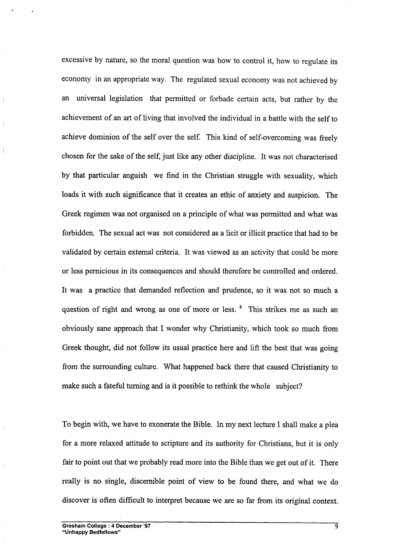excessive by nature, so the moral question was how to control it, how to regulate its economy in an appropriate way. The regulated sexual economy was not achieved by an universal legislation that permitted or forbade certain acts, but rather by the achievement of an art of living that involved the individual in a battle with the self to achieve dominion of the self over the self. This kind of self-overcoming was freely chosen for the sake of the self, just like any other discipline. It was not characterised by that particular anguish we find in the Christian struggle with sexuality, which loads it with such significance that it creates an ethic of anxiety and suspicion. The Greek regimen was not organised on a principle of what was permitted and what was forbidden. The sexual act was not considered as a licit or illicit practice that had to be validated by certain external criteria. It was viewed as an activity that could be more or less pernicious in its consequences and should therefore be controlled and ordered. It was a practice that demanded reflection and prudence, so it was not so much a question of right and wrong as one of more or less. <sup>8</sup> This strikes me as such an obviously sane approach that I wonder why Christianity, which took so much from Greek thought, did not follow its usual practice here and lifi the best that was going from the surrounding culture. What happened back there that caused Christianity to make such a fateful turning and is it possible to rethink the whole subject?

To begin with, we have to exonerate the Bible. In my next lecture I shall make a plea for a more relaxed attitude to scripture and its authority for Christians, but it is only fair to point out that we probably read more into the Bible than we get out of it. There really is no single, discernible point of view to be found there, and what we do discover is ofien difficult to interpret because we are so far from its original context.

,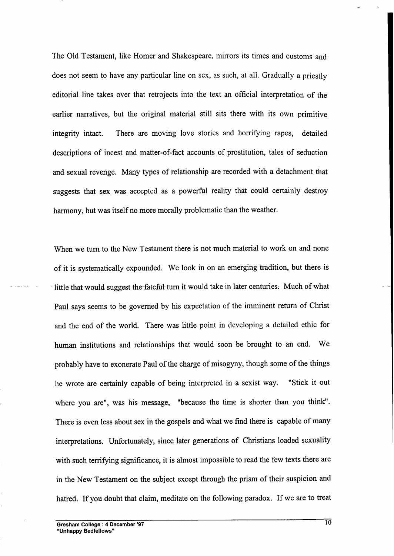The Old Testament, like Homer and Shakespeare, mirrors its times and customs and does not seem to have any particular line on sex, as such, at all. Gradually a priestly editorial line takes over that retrojects into the text an official interpretation of the earlier narratives, but the original material still sits there with its own primitive integrity intact. There are moving love stories and horrifying rapes, detailed descriptions of incest and matter-of-fact accounts of prostitution, tales of seduction and sexual revenge. Many types of relationship are recorded with a detachment that suggests that sex was accepted as a powerfil reality that could certainly destroy harmony, but was itself no more morally problematic than the weather.

When we turn to the New Testament there is not much material to work on and none of it is systematically expounded. We look in on an emerging tradition, but there is -little that would suggest the-fatefil-turn it would take in later centuries; Much of what Paul says seems to be governed by his expectation of the imminent return of Christ and the end of the world. There was little point in developing a detailed ethic for human institutions and relationships that would soon be brought to an end. We probably have to exonerate Paul of the charge of misogyny, though some of the things he wrote are certainly capable of being interpreted in a sexist way. "Stick it out where you are", was his message, "because the time is shorter than you think". There is even less about sex in the gospels and what we find there is capable of many interpretations. Unfortunately, since later generations of Christians loaded sexuality with such terrifying significance, it is almost impossible to read the few texts there are in the New Testament on the subject except through the prism of their suspicion and hatred. If you doubt that claim, meditate on the following paradox. If we are to treat

.-

.,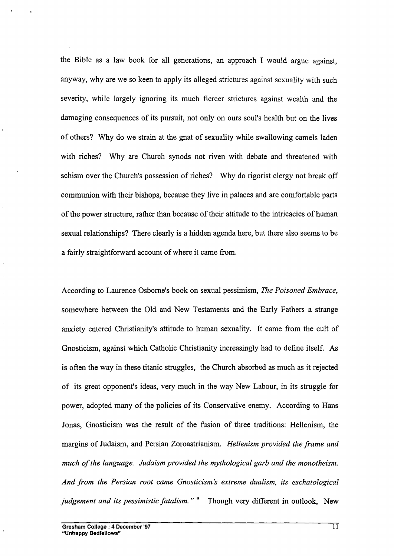the Bible as a law book for all generations, an approach I would argue against, anyway, why are we so keen to apply its alleged strictures against sexuality with such seventy, while largely ignoring its much fiercer strictures against wealth and the damaging consequences of its pursuit, not only on ours soul's health but on the lives of others? Why do we strain at the gnat of sexuality while swallowing camels laden with riches? Why are Church synods not riven with debate and threatened with schism over the Church's possession of riches? Why do rigorist clergy not break off communion with their bishops, because they live in palaces and are comfortable parts of the power structure, rather than because of their attitude to the intricacies of human sexual relationships? There clearly is a hidden agenda here, but there also seems to be a fairly straightforward account of where it came from.

According to Laurence Osborne's book on sexual pessimism, *The Poisoned Embrace*, somewhere between the Old and New Testaments and the Early Fathers a strange anxiety entered Christianity's attitude to human sexuality. It came from the cult of Gnosticism, against which Catholic Christianity increasingly had to define itself. As is ofien the way in these titanic struggles, the Church absorbed as much as it rejected of its great opponent's ideas, very much in the way New Labour, in its struggle for power, adopted many of the policies of its Conservative enemy. According to Hans Jonas, Gnosticism was the result of the fusion of three traditions: Hellenism, the margins of Judaism, and Persian Zoroastrianism. *Hellenism provided the frame and much of the language. Judaism provided the mythological garb and the monotheism. And from the Persian root came Gnosticism 5 extreme dualism, its eschatological judgement and its pessimistic fatalism. " 9* Though very different in outlook, New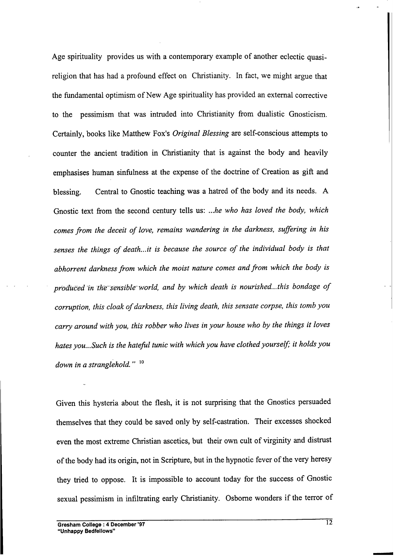Age spirituality provides us with a contemporary example of another eclectic quasi religion that has had a profound effect on Christianity. In fact, we might argue that the fundamental optimism of New Age spirituality has provided an external corrective to the pessimism that was intruded into Christianity from dualistic Gnosticism. Certainly, books like Matthew Fox's *Original Blessing* are self-conscious attempts to counter the ancient tradition in Christianity that is against the body and heavily emphasises human sinfulness at the expense of the doctrine of Creation as gift and blessing. Central to Gnostic teaching was a hatred of the body and its needs. A Gnostic text from the second century tells us: *...he who has loved the body, which comes from the deceit of love, remains wandering in the darkness, suflering in his senses the things of death... it is because the source of the individual body is that abhorrent darhess from which the moist nature comes and from which the body is produced 'in 'the–sensible-world, and by which death is nourished...this bondage of corruption, this cloak of darkness, this living death, this sensate corpse, this tomb you carry around with you, this robber who lives in your house who by the things it loves hates you...Such is the hateful tunic with which you have clothed yourself; it holds you down in a stranglehold. " '0*

Given this hysteria about the flesh, it is not surprising that the Gnostics persuaded themselves that they could be saved only by self-castration, Their excesses shocked even the most extreme Christian ascetics, but their own cult of virginity and distrust of the body had its origin, not in Scripture, but in the hypnotic fever of the very heresy they tried to oppose. It is impossible to account today for the success of Gnostic sexual pessimism in infiltrating early Christianity. Osborne wonders if the terror of

*..*

,. ,.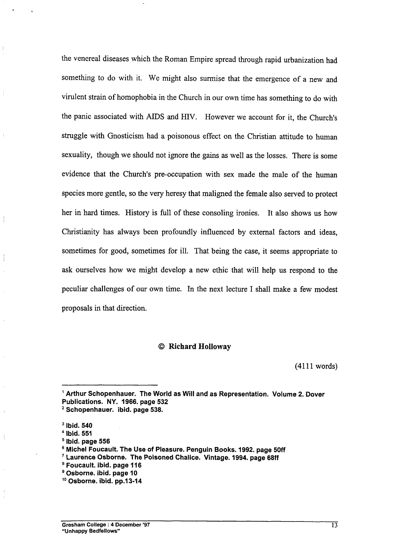the venereal diseases which the Roman Empire spread through rapid urbanization had something to do with it. We might also surmise that the emergence of a new and virulent strain of homophobia in the Church in our own time has something to do with the panic associated with AIDS and HIV. However we account for it, the Church's struggle with Gnosticism had a poisonous effect on the Christian attitude to human sexuality, though we should not ignore the gains as well as the losses. There is some evidence that the Church's pre-occupation with sex made the male of the human species more gentle, so the very heresy that maligned the female also served to protect her in hard times. History is full of these consoling ironies. It also shows us how Christianity has always been profoundly influenced by external factors and ideas, sometimes for good, sometimes for ill. That being the case, it seems appropriate to ask ourselves how we might develop a new ethic that will help us respond to the peculiar challenges of our own time. In the next lecture I shall make a few modest proposals in that direction.

#### @ Mchard Holloway

(41 11 words)

.

.

**<sup>&#</sup>x27; Arthur Schopenhauer. The World as Will and as Representation. Volume 2. Dover Publications. NY. 1966. page 532**

**<sup>2</sup>Schopenhauer. ibid. page 538.**

**<sup>3</sup> Ibid. 540**

**<sup>4</sup> Ibid. 551**

**<sup>5</sup> Ibid. page 556**

**<sup>6</sup> Michel Foucault. The Use of Pleasure. Penguin Books. 1992. page 50ff**

**<sup>7</sup> Laurence Osborne. The Poisoned Chalice. Vintage. 1994. page 68ff**

**<sup>6</sup> Foucault. ibid. page 116**

**gOsborne. ibid. page 10**

**lo Osborne. ibid. pp.13-14**